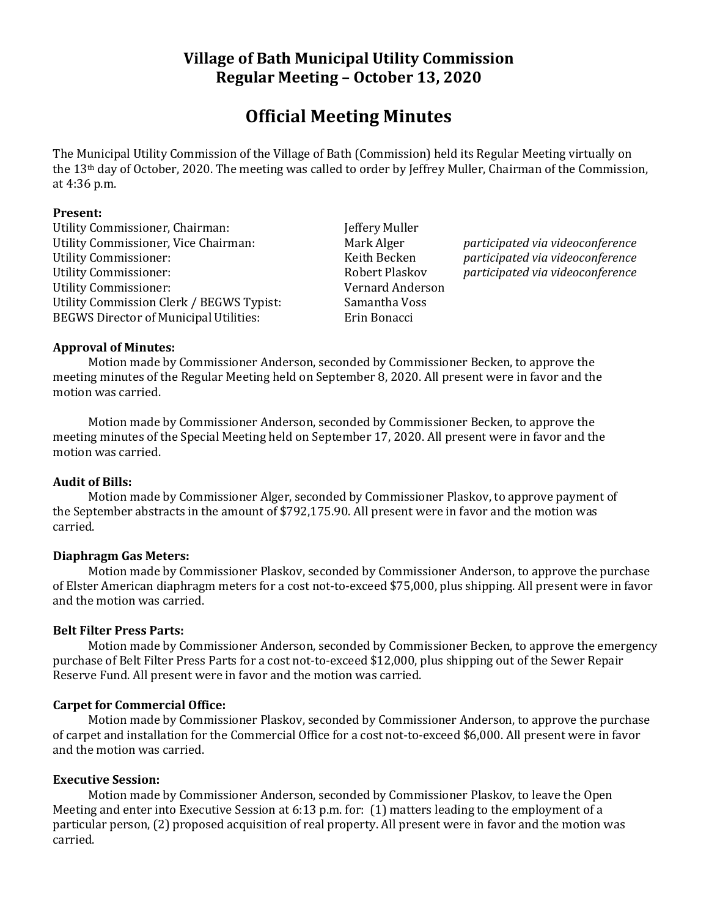# **Village of Bath Municipal Utility Commission Regular Meeting – October 13, 2020**

# **Official Meeting Minutes**

The Municipal Utility Commission of the Village of Bath (Commission) held its Regular Meeting virtually on the 13th day of October, 2020. The meeting was called to order by Jeffrey Muller, Chairman of the Commission, at 4:36 p.m.

#### **Present:**

Utility Commissioner, Chairman: Jeffery Muller Utility Commissioner, Vice Chairman: Mark Alger *participated via videoconference* Utility Commissioner: Keith Becken *participated via videoconference* Utility Commissioner: Robert Plaskov *participated via videoconference* Utility Commissioner: Vernard Anderson Utility Commission Clerk / BEGWS Typist: Samantha Voss BEGWS Director of Municipal Utilities: Erin Bonacci

## **Approval of Minutes:**

Motion made by Commissioner Anderson, seconded by Commissioner Becken, to approve the meeting minutes of the Regular Meeting held on September 8, 2020. All present were in favor and the motion was carried.

Motion made by Commissioner Anderson, seconded by Commissioner Becken, to approve the meeting minutes of the Special Meeting held on September 17, 2020. All present were in favor and the motion was carried.

## **Audit of Bills:**

Motion made by Commissioner Alger, seconded by Commissioner Plaskov, to approve payment of the September abstracts in the amount of \$792,175.90. All present were in favor and the motion was carried.

## **Diaphragm Gas Meters:**

Motion made by Commissioner Plaskov, seconded by Commissioner Anderson, to approve the purchase of Elster American diaphragm meters for a cost not-to-exceed \$75,000, plus shipping. All present were in favor and the motion was carried.

## **Belt Filter Press Parts:**

Motion made by Commissioner Anderson, seconded by Commissioner Becken, to approve the emergency purchase of Belt Filter Press Parts for a cost not-to-exceed \$12,000, plus shipping out of the Sewer Repair Reserve Fund. All present were in favor and the motion was carried.

## **Carpet for Commercial Office:**

Motion made by Commissioner Plaskov, seconded by Commissioner Anderson, to approve the purchase of carpet and installation for the Commercial Office for a cost not-to-exceed \$6,000. All present were in favor and the motion was carried.

## **Executive Session:**

Motion made by Commissioner Anderson, seconded by Commissioner Plaskov, to leave the Open Meeting and enter into Executive Session at 6:13 p.m. for: (1) matters leading to the employment of a particular person, (2) proposed acquisition of real property. All present were in favor and the motion was carried.